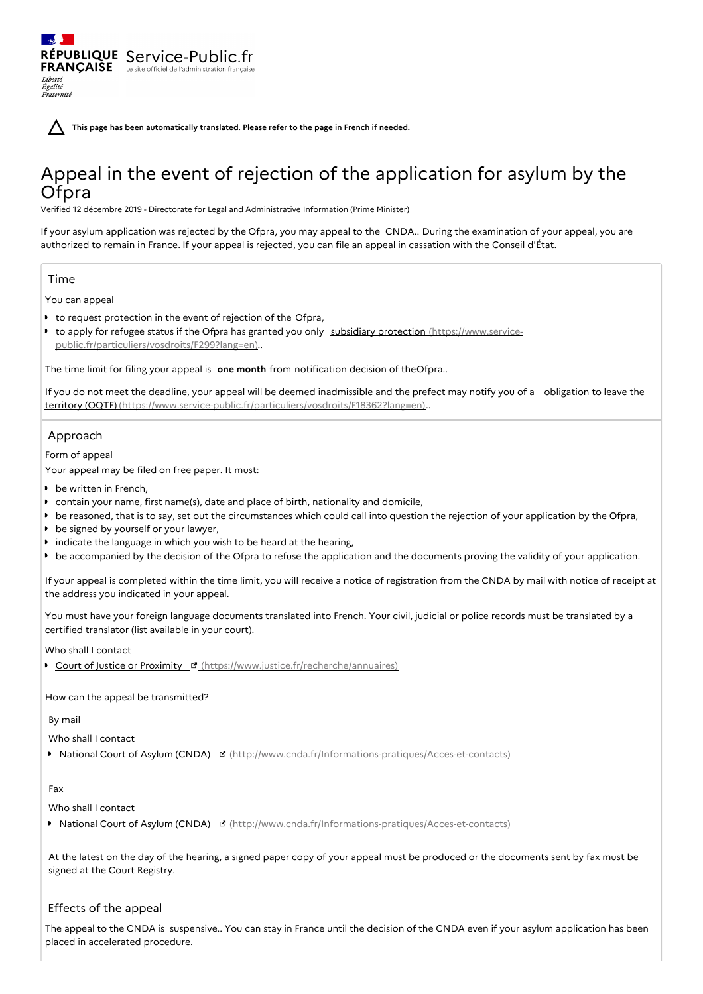**This page has been automatically translated. Please refer to the page in French if needed.**

# Appeal in the event of rejection of the application for asylum by the Ofpra

Verified 12 décembre 2019 - Directorate for Legal and Administrative Information (Prime Minister)

If your asylum application was rejected by the Ofpra, you may appeal to the CNDA.. During the examination of your appeal, you are authorized to remain in France. If your appeal is rejected, you can file an appeal in cassation with the Conseil d'État.

# Time

Liberté Égalité<br>Fraternité

You can appeal

to request protection in the event of rejection of the Ofpra,

RÉPUBLIQUE Service-Public.fr **FRANÇAISE** Le site officiel de l'administration fran

■ to apply for refugee status if the Ofpra has granted you only subsidiary protection (https://www.service[public.fr/particuliers/vosdroits/F299?lang=en\)..](https://www.service-public.fr/particuliers/vosdroits/F299?lang=en)

The time limit for filing your appeal is **one month** from notification decision of theOfpra..

If you do not meet the deadline, your appeal will be deemed inadmissible and the prefect may notify you of a obligation to leave the territory (OQTF) [\(https://www.service-public.fr/particuliers/vosdroits/F18362?lang=en\)..](https://www.service-public.fr/particuliers/vosdroits/F18362?lang=en)

## Approach

Form of appeal

Your appeal may be filed on free paper. It must:

- **b** be written in French,
- contain your name, first name(s), date and place of birth, nationality and domicile,
- be reasoned, that is to say, set out the circumstances which could call into question the rejection of your application by the Ofpra,
- be signed by yourself or your lawyer,
- indicate the language in which you wish to be heard at the hearing,
- be accompanied by the decision of the Ofpra to refuse the application and the documents proving the validity of your application.

If your appeal is completed within the time limit, you will receive a notice of registration from the CNDA by mail with notice of receipt at the address you indicated in your appeal.

You must have your foreign language documents translated into French. Your civil, judicial or police records must be translated by a certified translator (list available in your court).

Who shall I contact

Court of Justice or Proximity **E** [\(https://www.justice.fr/recherche/annuaires\)](https://www.justice.fr/recherche/annuaires)

How can the appeal be transmitted?

By mail

Who shall I contact

■ National Court of Asylum (CNDA) ¤ [\(http://www.cnda.fr/Informations-pratiques/Acces-et-contacts\)](http://www.cnda.fr/Informations-pratiques/Acces-et-contacts)

Fax

Who shall I contact

■ National Court of Asylum (CNDA) ¤ [\(http://www.cnda.fr/Informations-pratiques/Acces-et-contacts\)](http://www.cnda.fr/Informations-pratiques/Acces-et-contacts)

At the latest on the day of the hearing, a signed paper copy of your appeal must be produced or the documents sent by fax must be signed at the Court Registry.

# Effects of the appeal

The appeal to the CNDA is suspensive.. You can stay in France until the decision of the CNDA even if your asylum application has been placed in accelerated procedure.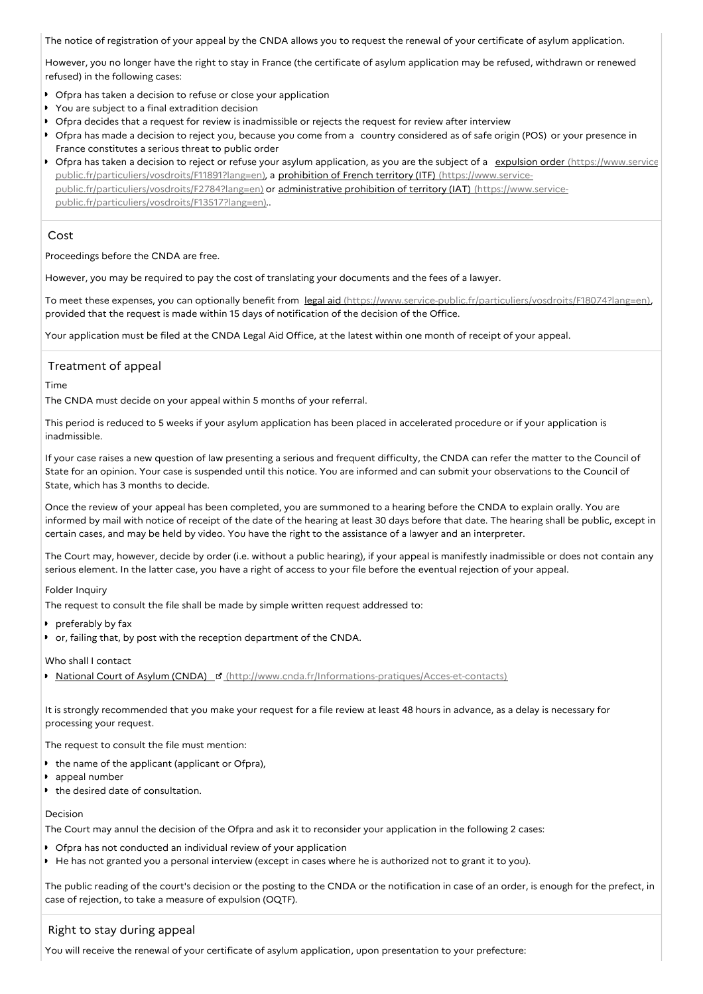The notice of registration of your appeal by the CNDA allows you to request the renewal of your certificate of asylum application.

However, you no longer have the right to stay in France (the certificate of asylum application may be refused, withdrawn or renewed refused) in the following cases:

- Ofpra has taken a decision to refuse or close your application
- You are subject to a final extradition decision
- Ofpra decides that a request for review is inadmissible or rejects the request for review after interview
- Ofpra has made a decision to reject you, because you come from a country considered as of safe origin (POS) or your presence in France constitutes a serious threat to public order
- Ofpra has taken a decision to reject or refuse your asylum application, as you are the subject of a expulsion order (https://www.service[public.fr/particuliers/vosdroits/F11891?lang=en\),](https://www.service-public.fr/particuliers/vosdroits/F11891?lang=en) a prohibition of French territory (ITF) (https://www.servicepublic.fr/particuliers/vosdroits/F2784?lang=en) or administrative prohibition of territory (IAT) (https://www.service[public.fr/particuliers/vosdroits/F13517?lang=en\)..](https://www.service-public.fr/particuliers/vosdroits/F13517?lang=en)

## Cost

Proceedings before the CNDA are free.

However, you may be required to pay the cost of translating your documents and the fees of a lawyer.

To meet these expenses, you can optionally benefit from legal aid [\(https://www.service-public.fr/particuliers/vosdroits/F18074?lang=en\)](https://www.service-public.fr/particuliers/vosdroits/F18074?lang=en), provided that the request is made within 15 days of notification of the decision of the Office.

Your application must be filed at the CNDA Legal Aid Office, at the latest within one month of receipt of your appeal.

# Treatment of appeal

Time

The CNDA must decide on your appeal within 5 months of your referral.

This period is reduced to 5 weeks if your asylum application has been placed in accelerated procedure or if your application is inadmissible.

If your case raises a new question of law presenting a serious and frequent difficulty, the CNDA can refer the matter to the Council of State for an opinion. Your case is suspended until this notice. You are informed and can submit your observations to the Council of State, which has 3 months to decide.

Once the review of your appeal has been completed, you are summoned to a hearing before the CNDA to explain orally. You are informed by mail with notice of receipt of the date of the hearing at least 30 days before that date. The hearing shall be public, except in certain cases, and may be held by video. You have the right to the assistance of a lawyer and an interpreter.

The Court may, however, decide by order (i.e. without a public hearing), if your appeal is manifestly inadmissible or does not contain any serious element. In the latter case, you have a right of access to your file before the eventual rejection of your appeal.

## Folder Inquiry

The request to consult the file shall be made by simple written request addressed to:

- **preferably by fax**
- or, failing that, by post with the reception department of the CNDA.

## Who shall I contact

National Court of Asylum (CNDA) E [\(http://www.cnda.fr/Informations-pratiques/Acces-et-contacts\)](http://www.cnda.fr/Informations-pratiques/Acces-et-contacts)

It is strongly recommended that you make your request for a file review at least 48 hours in advance, as a delay is necessary for processing your request.

The request to consult the file must mention:

- $\bullet$  the name of the applicant (applicant or Ofpra),
- **appeal number**
- the desired date of consultation.

#### Decision

The Court may annul the decision of the Ofpra and ask it to reconsider your application in the following 2 cases:

- Ofpra has not conducted an individual review of your application
- He has not granted you a personal interview (except in cases where he is authorized not to grant it to you).

The public reading of the court's decision or the posting to the CNDA or the notification in case of an order, is enough for the prefect, in case of rejection, to take a measure of expulsion (OQTF).

# Right to stay during appeal

You will receive the renewal of your certificate of asylum application, upon presentation to your prefecture: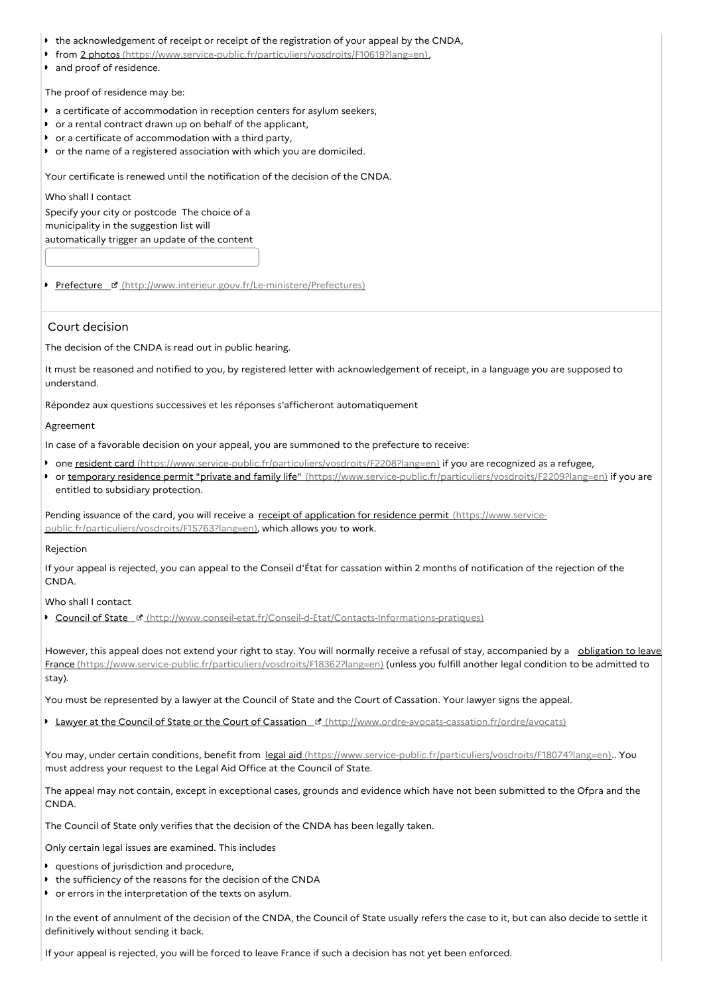- the acknowledgement of receipt or receipt of the registration of your appeal by the CNDA,
- from 2 photos [\(https://www.service-public.fr/particuliers/vosdroits/F10619?lang=en\)](https://www.service-public.fr/particuliers/vosdroits/F10619?lang=en),
- **and proof of residence.**

The proof of residence may be:

- a certificate of accommodation in reception centers for asylum seekers,
- or a rental contract drawn up on behalf of the applicant,
- or a certificate of accommodation with a third party,
- or the name of a registered association with which you are domiciled.

Your certificate is renewed until the notification of the decision of the CNDA.

Who shall I contact Specify your city or postcode The choice of a municipality in the suggestion list will automatically trigger an update of the content

Prefecture **d** [\(http://www.interieur.gouv.fr/Le-ministere/Prefectures\)](http://www.interieur.gouv.fr/Le-ministere/Prefectures)

### Court decision

The decision of the CNDA is read out in public hearing.

It must be reasoned and notified to you, by registered letter with acknowledgement of receipt, in a language you are supposed to understand.

Répondez aux questions successives et les réponses s'afficheront automatiquement

#### Agreement

In case of a favorable decision on your appeal, you are summoned to the prefecture to receive:

- one resident card [\(https://www.service-public.fr/particuliers/vosdroits/F2208?lang=en\)](https://www.service-public.fr/particuliers/vosdroits/F2208?lang=en) if you are recognized as a refugee,
- or temporary residence permit "private and family life" [\(https://www.service-public.fr/particuliers/vosdroits/F2209?lang=en\)](https://www.service-public.fr/particuliers/vosdroits/F2209?lang=en) if you are entitled to subsidiary protection.

Pending issuance of the card, you will receive a receipt of application for residence permit (https://www.service[public.fr/particuliers/vosdroits/F15763?lang=en\),](https://www.service-public.fr/particuliers/vosdroits/F15763?lang=en) which allows you to work.

#### Rejection

If your appeal is rejected, you can appeal to the Conseil d'État for cassation within 2 months of notification of the rejection of the **CNDA** 

Who shall I contact

**Council of State F** [\(http://www.conseil-etat.fr/Conseil-d-Etat/Contacts-Informations-pratiques\)](http://www.conseil-etat.fr/Conseil-d-Etat/Contacts-Informations-pratiques)

However, this appeal does not extend your right to stay. You will normally receive a refusal of stay, accompanied by a obligation to leave France [\(https://www.service-public.fr/particuliers/vosdroits/F18362?lang=en\)](https://www.service-public.fr/particuliers/vosdroits/F18362?lang=en) (unless you fulfill another legal condition to be admitted to stay).

You must be represented by a lawyer at the Council of State and the Court of Cassation. Your lawyer signs the appeal.

Lawyer at the Council of State or the Court of Cassation E' [\(http://www.ordre-avocats-cassation.fr/ordre/avocats\)](http://www.ordre-avocats-cassation.fr/ordre/avocats)

You may, under certain conditions, benefit from legal aid [\(https://www.service-public.fr/particuliers/vosdroits/F18074?lang=en\)](https://www.service-public.fr/particuliers/vosdroits/F18074?lang=en).. You must address your request to the Legal Aid Office at the Council of State.

The appeal may not contain, except in exceptional cases, grounds and evidence which have not been submitted to the Ofpra and the CNDA.

The Council of State only verifies that the decision of the CNDA has been legally taken.

Only certain legal issues are examined. This includes

- **questions of jurisdiction and procedure,**
- the sufficiency of the reasons for the decision of the CNDA
- or errors in the interpretation of the texts on asylum.

In the event of annulment of the decision of the CNDA, the Council of State usually refers the case to it, but can also decide to settle it definitively without sending it back.

If your appeal is rejected, you will be forced to leave France if such a decision has not yet been enforced.